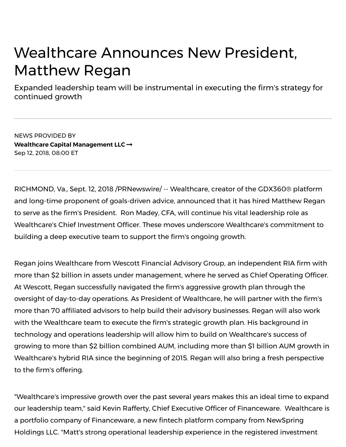# Wealthcare Announces New President, Matthew Regan

Expanded leadership team will be instrumental in executing the firm's strategy for continued growth

NEWS PROVIDED BY **Wealthcare Capital [Management](https://www.prnewswire.com/news/Wealthcare+Capital+Management+LLC) LLC** Sep 12, 2018, 08:00 ET

RICHMOND, Va., Sept. 12, 2018 /PRNewswire/ -- Wealthcare, creator of the GDX360® platform and long-time proponent of goals-driven advice, announced that it has hired Matthew Regan to serve as the firm's President. Ron Madey, CFA, will continue his vital leadership role as Wealthcare's Chief Investment Officer. These moves underscore Wealthcare's commitment to building a deep executive team to support the firm's ongoing growth.

Regan joins Wealthcare from Wescott Financial Advisory Group, an independent RIA firm with more than \$2 billion in assets under management, where he served as Chief Operating Officer. At Wescott, Regan successfully navigated the firm's aggressive growth plan through the oversight of day-to-day operations. As President of Wealthcare, he will partner with the firm's more than 70 affiliated advisors to help build their advisory businesses. Regan will also work with the Wealthcare team to execute the firm's strategic growth plan. His background in technology and operations leadership will allow him to build on Wealthcare's success of growing to more than \$2 billion combined AUM, including more than \$1 billion AUM growth in Wealthcare's hybrid RIA since the beginning of 2015. Regan will also bring a fresh perspective to the firm's offering.

Holdings LLC. "Matt's strong operational leadership experience in the registered investment "Wealthcare's impressive growth over the past several years makes this an ideal time to expand our leadership team," said Kevin Rafferty, Chief Executive Officer of Financeware. Wealthcare is a portfolio company of Financeware, a new fintech platform company from NewSpring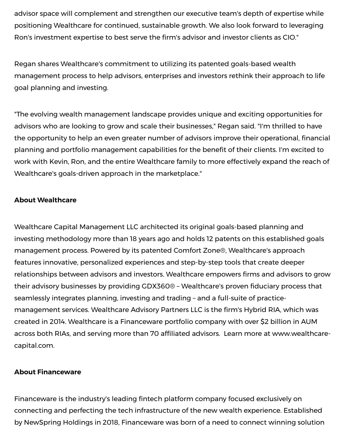advisor space will complement and strengthen our executive team's depth of expertise while positioning Wealthcare for continued, sustainable growth. We also look forward to leveraging Ron's investment expertise to best serve the firm's advisor and investor clients as CIO."

Regan shares Wealthcare's commitment to utilizing its patented goals-based wealth management process to help advisors, enterprises and investors rethink their approach to life goal planning and investing.

"The evolving wealth management landscape provides unique and exciting opportunities for advisors who are looking to grow and scale their businesses," Regan said. "I'm thrilled to have the opportunity to help an even greater number of advisors improve their operational, financial planning and portfolio management capabilities for the benefit of their clients. I'm excited to work with Kevin, Ron, and the entire Wealthcare family to more effectively expand the reach of Wealthcare's goals-driven approach in the marketplace."

# **About Wealthcare**

Wealthcare Capital Management LLC architected its original goals-based planning and investing methodology more than 18 years ago and holds 12 patents on this established goals management process. Powered by its patented Comfort Zone®, Wealthcare's approach features innovative, personalized experiences and step-by-step tools that create deeper relationships between advisors and investors. Wealthcare empowers firms and advisors to grow their advisory businesses by providing GDX360® - Wealthcare's proven fiduciary process that seamlessly integrates planning, investing and trading – and a full-suite of practicemanagement services. Wealthcare Advisory Partners LLC is the firm's Hybrid RIA, which was created in 2014. Wealthcare is a Financeware portfolio company with over \$2 billion in AUM across both RIAs, and serving more than 70 affiliated advisors. Learn more at [www.wealthcare](http://www.wealthcarecapital.com/)capital.com.

### **About Financeware**

Financeware is the industry's leading fintech platform company focused exclusively on connecting and perfecting the tech infrastructure of the new wealth experience. Established by NewSpring Holdings in 2018, Financeware was born of a need to connect winning solution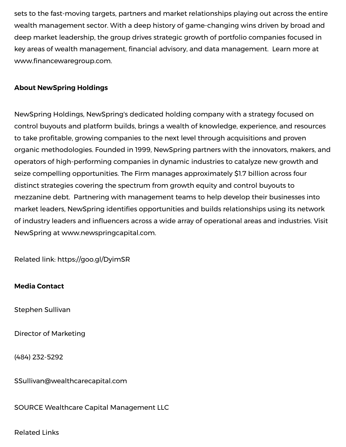sets to the fast-moving targets, partners and market relationships playing out across the entire wealth management sector. With a deep history of game-changing wins driven by broad and deep market leadership, the group drives strategic growth of portfolio companies focused in key areas of wealth management, financial advisory, and data management. Learn more at www.financewaregroup.com.

# **About NewSpring Holdings**

NewSpring Holdings, NewSpring's dedicated holding company with a strategy focused on control buyouts and platform builds, brings a wealth of knowledge, experience, and resources to take profitable, growing companies to the next level through acquisitions and proven organic methodologies. Founded in 1999, NewSpring partners with the innovators, makers, and operators of high-performing companies in dynamic industries to catalyze new growth and seize compelling opportunities. The Firm manages approximately \$1.7 billion across four distinct strategies covering the spectrum from growth equity and control buyouts to mezzanine debt. Partnering with management teams to help develop their businesses into market leaders, NewSpring identifies opportunities and builds relationships using its network of industry leaders and influencers across a wide array of operational areas and industries. Visit NewSpring at [www.newspringcapital.com](http://www.newspringcapital.com/).

Related link: <https://goo.gl/DyimSR>

### **Media Contact**

Stephen Sullivan

Director of Marketing

(484) 232-5292

[SSullivan@wealthcarecapital.com](mailto:SSullivan@wealthcarecapital.com)

SOURCE Wealthcare Capital Management LLC

 $h_{\text{reduced}}$  releases. The matthcare-announces-new-president-matthew-regard-semi-300710568.html?tc=eml\_cleartime 3/4468.html?tc=eml\_cleartime 3/4468.html?tc=eml\_cleartime 3/4468.html?tc=eml\_cleartime 3/4468.html?tc=eml\_clea Related Links